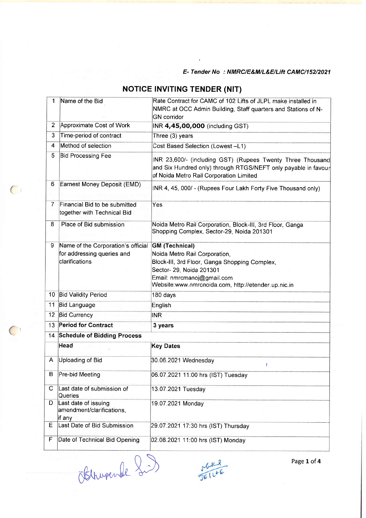#### E- Tender No : NMRC/E&M/L&E/L|ft CAMC/152/2021

| Name of the Bid                                                                    | Rate Contract for CAMC of 102 Lifts of JLPL make installed in<br>NMRC at OCC Admin Building, Staff quarters and Stations of N-<br><b>GN</b> corridor                                                                     |  |  |
|------------------------------------------------------------------------------------|--------------------------------------------------------------------------------------------------------------------------------------------------------------------------------------------------------------------------|--|--|
| Approximate Cost of Work                                                           | INR 4,45,00,000 (including GST)                                                                                                                                                                                          |  |  |
| Time-period of contract                                                            | Three (3) years                                                                                                                                                                                                          |  |  |
| Method of selection                                                                | Cost Based Selection (Lowest -L1)                                                                                                                                                                                        |  |  |
| <b>Bid Processing Fee</b>                                                          | INR 23,600/- (including GST) (Rupees Twenty Three Thousand<br>and Six Hundred only) through RTGS/NEFT only payable in favour<br>of Noida Metro Rail Corporation Limited                                                  |  |  |
| Earnest Money Deposit (EMD)                                                        | INR 4, 45, 000/ - (Rupees Four Lakh Forty Five Thousand only)                                                                                                                                                            |  |  |
| Financial Bid to be submitted<br>together with Technical Bid                       | Yes                                                                                                                                                                                                                      |  |  |
| Place of Bid submission                                                            | Noida Metro Rail Corporation, Block-III, 3rd Floor, Ganga<br>Shopping Complex, Sector-29, Noida 201301                                                                                                                   |  |  |
| Name of the Corporation's official<br>for addressing queries and<br>clarifications | <b>GM</b> (Technical)<br>Noida Metro Rail Corporation,<br>Block-III, 3rd Floor, Ganga Shopping Complex,<br>Sector- 29, Noida 201301<br>Email: nmrcmanoj@gmail.com<br>Website:www.nmrcnoida.com, http://etender.up.nic.in |  |  |
| 10 Bid Validity Period                                                             | 180 days                                                                                                                                                                                                                 |  |  |
| <b>Bid Language</b>                                                                | English                                                                                                                                                                                                                  |  |  |
| <b>Bid Currency</b>                                                                | INR                                                                                                                                                                                                                      |  |  |
| <b>Period for Contract</b><br>13 <sup>1</sup><br>3 years                           |                                                                                                                                                                                                                          |  |  |
| 14 Schedule of Bidding Process                                                     |                                                                                                                                                                                                                          |  |  |
| Head                                                                               | <b>Key Dates</b>                                                                                                                                                                                                         |  |  |
| Uploading of Bid                                                                   | 30.06.2021 Wednesday<br>Y                                                                                                                                                                                                |  |  |
| Pre-bid Meeting                                                                    | 06.07.2021 11:00 hrs (IST) Tuesday                                                                                                                                                                                       |  |  |
| Last date of submission of<br>Queries                                              | 13.07.2021 Tuesday                                                                                                                                                                                                       |  |  |
| Last date of issuing<br>amendment/clarifications,<br>if any                        | 19.07.2021 Monday                                                                                                                                                                                                        |  |  |
| Last Date of Bid Submission                                                        | 29.07.2021 17:30 hrs (IST) Thursday                                                                                                                                                                                      |  |  |
| Date of Technical Bid Opening                                                      | 02.08.2021 11:00 hrs (IST) Monday                                                                                                                                                                                        |  |  |
|                                                                                    |                                                                                                                                                                                                                          |  |  |

## **NOTICE INVITING TENDER (NIT)**

Obthupende Si)

 $\bigcap$ 

 $($ 

 $rac{1}{16}$ <br> $1612$ 

Page 1 of 4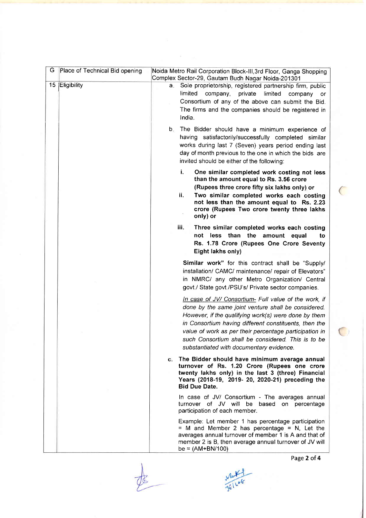| G  | Place of Technical Bid opening | Noida Metro Rail Corporation Block-III, 3rd Floor, Ganga Shopping<br>Complex Sector-29, Gautam Budh Nagar Noida-201301                                                                                                                                                                                                                                                                    |
|----|--------------------------------|-------------------------------------------------------------------------------------------------------------------------------------------------------------------------------------------------------------------------------------------------------------------------------------------------------------------------------------------------------------------------------------------|
| 15 | Eligibility                    | Sole proprietorship, registered partnership firm, public<br>a.<br>limited<br>company,<br>private<br>limited<br>company<br>- or<br>Consortium of any of the above can submit the Bid.<br>The firms and the companies should be registered in<br>India.                                                                                                                                     |
|    |                                | b.<br>The Bidder should have a minimum experience of<br>having satisfactorily/successfully completed similar<br>works during last 7 (Seven) years period ending last<br>day of month previous to the one in which the bids are<br>invited should be either of the following:                                                                                                              |
|    |                                | i.<br>One similar completed work costing not less<br>than the amount equal to Rs. 3.56 crore<br>(Rupees three crore fifty six lakhs only) or<br>ii.<br>Two similar completed works each costing<br>not less than the amount equal to Rs. 2.23<br>crore (Rupees Two crore twenty three lakhs<br>only) or                                                                                   |
|    |                                | iii.<br>Three similar completed works each costing<br>less than<br>the<br>not<br>amount equal<br>to<br>Rs. 1.78 Crore (Rupees One Crore Seventy<br>Eight lakhs only)                                                                                                                                                                                                                      |
|    |                                | Similar work" for this contract shall be "Supply/<br>installation/ CAMC/ maintenance/ repair of Elevators"<br>in NMRC/ any other Metro Organization/ Central<br>govt./ State govt./PSU's/ Private sector companies.                                                                                                                                                                       |
|    |                                | In case of JV/ Consortium- Full value of the work, if<br>done by the same joint venture shall be considered.<br>However, if the qualifying work(s) were done by them<br>in Consortium having different constituents, then the<br>value of work as per their percentage participation in<br>such Consortium shall be considered. This is to be<br>substantiated with documentary evidence. |
|    |                                | c. The Bidder should have minimum average annual<br>turnover of Rs. 1.20 Crore (Rupees one crore<br>twenty lakhs only) in the last 3 (three) Financial<br>Years (2018-19, 2019- 20, 2020-21) preceding the<br><b>Bid Due Date.</b>                                                                                                                                                        |
|    |                                | In case of JV/ Consortium - The averages annual<br>turnover of JV will be based on percentage<br>participation of each member.                                                                                                                                                                                                                                                            |
|    |                                | Example: Let member 1 has percentage participation<br>$=$ M and Member 2 has percentage $=$ N, Let the<br>averages annual turnover of member 1 is A and that of<br>member 2 is B, then average annual turnover of JV will<br>be = $(AM+BN/100)$                                                                                                                                           |

Page 2 of 4

 $($ 

 $\bigcirc$ 

White<br>JEILOF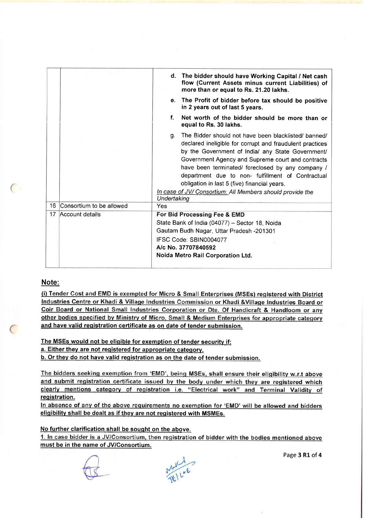|    |                          | d. The bidder should have Working Capital / Net cash<br>flow (Current Assets minus current Liabilities) of<br>more than or equal to Rs. 21.20 lakhs.                                                                                                                                                                                                                                                                                                                   |
|----|--------------------------|------------------------------------------------------------------------------------------------------------------------------------------------------------------------------------------------------------------------------------------------------------------------------------------------------------------------------------------------------------------------------------------------------------------------------------------------------------------------|
|    |                          | e. The Profit of bidder before tax should be positive<br>in 2 years out of last 5 years.                                                                                                                                                                                                                                                                                                                                                                               |
|    |                          | f.<br>Net worth of the bidder should be more than or<br>equal to Rs. 30 lakhs.                                                                                                                                                                                                                                                                                                                                                                                         |
|    |                          | The Bidder should not have been blacklisted/ banned/<br>g.<br>declared ineligible for corrupt and fraudulent practices<br>by the Government of India/ any State Government/<br>Government Agency and Supreme court and contracts<br>have been terminated/ foreclosed by any company /<br>department due to non- fulfillment of Contractual<br>obligation in last 5 (five) financial years.<br>In case of JV/ Consortium: All Members should provide the<br>Undertaking |
| 16 | Consortium to be allowed | Yes                                                                                                                                                                                                                                                                                                                                                                                                                                                                    |
| 17 | Account details          | For Bid Processing Fee & EMD<br>State Bank of India (04077) - Sector 18, Noida<br>Gautam Budh Nagar, Uttar Pradesh -201301<br>IFSC Code: SBIN0004077<br>A/c No. 37707840592<br>Noida Metro Rail Corporation Ltd.                                                                                                                                                                                                                                                       |
|    |                          |                                                                                                                                                                                                                                                                                                                                                                                                                                                                        |

### Note:

 $\mathcal{L}_{\mathcal{L}}$ 

 $\overline{C}$ 

(i) Tender Cost and EMD is exempted for Micro & Small Enterprises (MSEs) registered with District Industries Centre or Khadi & Village Industries Commission or Khadi & Village Industries Board or Coir Board or National Small Industries Corporation or Dte. Of Handicraft & Handloom or any other bodies specified by Ministry of Micro, Small & Medium Enterprises for appropriate category and have valid reqistration certificate as on date of tender submission.

The MSEs would not be eliqible for exemption of tender securitv if:

a. Either they are not registered for appropriate category.

b. Or thev do not have valid reqistration as on the date of tender submission.

The bidders seeking exemption from 'EMD', being MSEs, shall ensure their eligibility w.r.t above and submit registration certificate issued by the body under which they are registered which clearly mentions category of registration i.e. "Electrical work" and Terminal Validity of registration.

In absence of any of the above requirements no exemption for 'EMD' will be allowed and bidders eligibility shall be dealt as if they are not registered with MSMEs.

No further clarification shall be sought on the above.

1. In case bidder is a JV/Consortium, then registration of bidder with the bodies mentioned above must be in the name of JV/Consortium.



Page 3 R1 of 4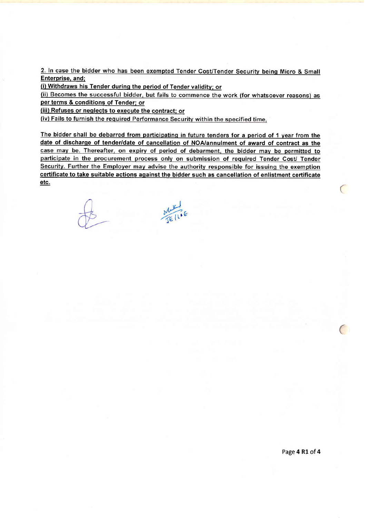2. In case the bidder who has been exempted Tender Cost/Tender Security being Micro & Small Enterprise. and:

(i) Withdraws his Tender during the period of Tender validity; or (ii) Becomes the successful bidder, but fails to commence the work (for whatsoever reasons) as per terms & conditions of Tender: or

(iii) Refuses or neglects to execute the contract; or

(iv) Fails to furnish the required Performance Security within the specified time.

The bidder shall be debarred from participating in future tenders for a period of 1 year from the date of discharge of tender/date of cancellation of NOA/annulment of award of contract as the case may be. Thereafter, on expiry of period of debarment, the bidder may be permitted to participate in the procurement process only on submission of required Tender Cost/ Tender Security. Further the Employer may advise the authority responsible for issuing the exemption certificate to take suitable actions against the bidder such as cancellation of enlistment certificate etc. The contract of the contract of the contract of the contract of the contract of the contract of the contract of the contract of the contract of the contract of the contract of the contract of the contract of the contr

MLK<br>JE (10E

 $\overline{C}$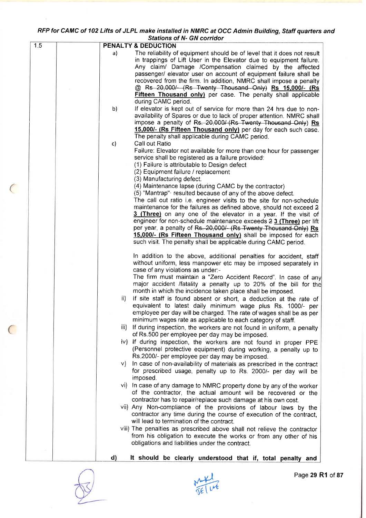#### RFP for CAMC of 102 Lifts of JLPL make installed in NMRC at OCC Admin Building, Staff quarters and Sfations of N- GN corridor

|     | Stations of N- GN corridor                                                                                                                                                                                                                                                                                                                |
|-----|-------------------------------------------------------------------------------------------------------------------------------------------------------------------------------------------------------------------------------------------------------------------------------------------------------------------------------------------|
| 1.5 | <b>PENALTY &amp; DEDUCTION</b>                                                                                                                                                                                                                                                                                                            |
|     | The reliability of equipment should be of level that it does not result<br>a)<br>in trappings of Lift User in the Elevator due to equipment failure.<br>Any claim/ Damage /Compensation claimed by the affected<br>passenger/ elevator user on account of equipment failure shall be                                                      |
|     | recovered from the firm. In addition, NMRC shall impose a penalty<br>@ Rs 20,000/- (Rs Twenty Thousand Only) Rs 15,000/- (Rs                                                                                                                                                                                                              |
|     | <b>Fifteen Thousand only)</b> per case. The penalty shall applicable<br>during CAMC period.                                                                                                                                                                                                                                               |
|     | If elevator is kept out of service for more than 24 hrs due to non-<br>b)<br>availability of Spares or due to lack of proper attention. NMRC shall<br>impose a penalty of Rs. 20,000/ (Rs Twenty Thousand Only) Rs<br>15,000/- (Rs Fifteen Thousand only) per day for each such case.<br>The penalty shall applicable during CAMC period. |
|     | Call out Ratio<br>$\mathsf{c}$<br>Failure: Elevator not available for more than one hour for passenger                                                                                                                                                                                                                                    |
|     | service shall be registered as a failure provided:<br>(1) Failure is attributable to Design defect<br>(2) Equipment failure / replacement                                                                                                                                                                                                 |
|     | (3) Manufacturing defect.                                                                                                                                                                                                                                                                                                                 |
|     | (4) Maintenance lapse (during CAMC by the contractor)<br>(5) "Mantrap" resulted because of any of the above defect.<br>The call out ratio i.e. engineer visits to the site for non-schedule                                                                                                                                               |
|     | maintenance for the failures as defined above, should not exceed 2<br>3 (Three) on any one of the elevator in a year. If the visit of<br>engineer for non-schedule maintenance exceeds 2 3 (Three) per lift                                                                                                                               |
|     | per year, a penalty of Rs. 20,000/- (Rs Twenty Thousand Only) Rs<br>15,000/- (Rs Fifteen Thousand only) shall be imposed for each<br>such visit. The penalty shall be applicable during CAMC period.                                                                                                                                      |
|     | In addition to the above, additional penalties for accident, staff<br>without uniform, less manpower etc may be imposed separately in<br>case of any violations as under:-<br>The firm must maintain a "Zero Accident Record". In case of any                                                                                             |
|     | major accident /fatality a penalty up to 20% of the bill for the<br>month in which the incidence taken place shall be imposed.                                                                                                                                                                                                            |
|     | ii)<br>If site staff is found absent or short, a deduction at the rate of<br>equivalent to latest daily minimum wage plus Rs. 1000/- per<br>employee per day will be charged. The rate of wages shall be as per                                                                                                                           |
|     | minimum wages rate as applicable to each category of staff.<br>If during inspection, the workers are not found in uniform, a penalty<br>iii).<br>of Rs.500 per employee per day may be imposed.                                                                                                                                           |
|     | iv) If during inspection, the workers are not found in proper PPE<br>(Personnel protective equipment) during working, a penalty up to<br>Rs.2000/- per employee per day may be imposed.                                                                                                                                                   |
|     | In case of non-availability of materials as prescribed in the contract<br>V)<br>for prescribed usage, penalty up to Rs. 2000/- per day will be<br>imposed.                                                                                                                                                                                |
|     | vi) In case of any damage to NMRC property done by any of the worker<br>of the contractor, the actual amount will be recovered or the<br>contractor has to repair/replace such damage at his own cost.                                                                                                                                    |
|     | vii) Any Non-compliance of the provisions of labour laws by the<br>contractor any time during the course of execution of the contract,<br>will lead to termination of the contract.                                                                                                                                                       |
|     | viii) The penalties as prescribed above shall not relieve the contractor<br>from his obligation to execute the works or from any other of his<br>obligations and liabilities under the contract.                                                                                                                                          |
|     | d)<br>It should be clearly understood that if, total penalty and                                                                                                                                                                                                                                                                          |

 $\big($ 

 $($ 

**Fire**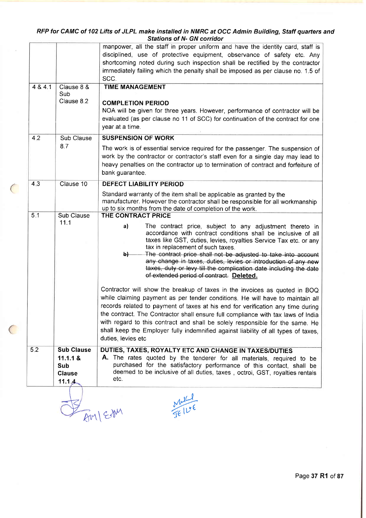#### RFP for CAMC of 102 Lifts of JLPL make installed in NMRC at OCC Admin Building, Staff quarters and Sfafions of N- GN corridor

|       | Clause<br>11.1.4                     | deemed to be inclusive of all duties, taxes, octroi, GST, royalties rentals<br>etc.<br>M<br>BMI ESM                                                                                                                                                                                                                                                                                                                                                                                                                             |
|-------|--------------------------------------|---------------------------------------------------------------------------------------------------------------------------------------------------------------------------------------------------------------------------------------------------------------------------------------------------------------------------------------------------------------------------------------------------------------------------------------------------------------------------------------------------------------------------------|
| 5.2   | <b>Sub Clause</b><br>11.1.1 &<br>Sub | DUTIES, TAXES, ROYALTY ETC AND CHANGE IN TAXES/DUTIES<br>A. The rates quoted by the tenderer for all materials, required to be<br>purchased for the satisfactory performance of this contact, shall be                                                                                                                                                                                                                                                                                                                          |
|       |                                      | Contractor will show the breakup of taxes in the invoices as quoted in BOQ<br>while claiming payment as per tender conditions. He will have to maintain all<br>records related to payment of taxes at his end for verification any time during<br>the contract. The Contractor shall ensure full compliance with tax laws of India<br>with regard to this contract and shall be solely responsible for the same. He<br>shall keep the Employer fully indemnified against liability of all types of taxes,<br>duties, levies etc |
|       | 11.1                                 | a)<br>The contract price, subject to any adjustment thereto in<br>accordance with contract conditions shall be inclusive of all<br>taxes like GST, duties, levies, royalties Service Tax etc. or any<br>tax in replacement of such taxes.<br>The contract price shall not be adjusted to take into account<br>b)<br>any change in taxes, duties, levies or introduction of any new<br>taxes, duty or levy till the complication date including the date<br>of extended period of contract. Deleted.                             |
| 5.1   | Sub Clause                           | Standard warranty of the item shall be applicable as granted by the<br>manufacturer. However the contractor shall be responsible for all workmanship<br>up to six months from the date of completion of the work.<br>THE CONTRACT PRICE                                                                                                                                                                                                                                                                                         |
| 4,3   | Clause 10                            | The work is of essential service required for the passenger. The suspension of<br>work by the contractor or contractor's staff even for a single day may lead to<br>heavy penalties on the contractor up to termination of contract and forfeiture of<br>bank guarantee.<br><b>DEFECT LIABILITY PERIOD</b>                                                                                                                                                                                                                      |
| 4.2   | Sub Clause<br>8.7                    | <b>SUSPENSION OF WORK</b>                                                                                                                                                                                                                                                                                                                                                                                                                                                                                                       |
|       | Clause 8 &<br>Sub<br>Clause 8.2      | <b>TIME MANAGEMENT</b><br><b>COMPLETION PERIOD</b><br>NOA will be given for three years. However, performance of contractor will be<br>evaluated (as per clause no 11 of SCC) for continuation of the contract for one<br>year at a time.                                                                                                                                                                                                                                                                                       |
| 484.1 |                                      | manpower, all the staff in proper uniform and have the identity card, staff is<br>disciplined, use of protective equipment, observance of safety etc. Any<br>shortcoming noted during such inspection shall be rectified by the contractor<br>immediately failing which the penalty shall be imposed as per clause no. 1.5 of<br>SCC.                                                                                                                                                                                           |

 $\big($ 

 $\big($ 

Page 37 R1 of 87